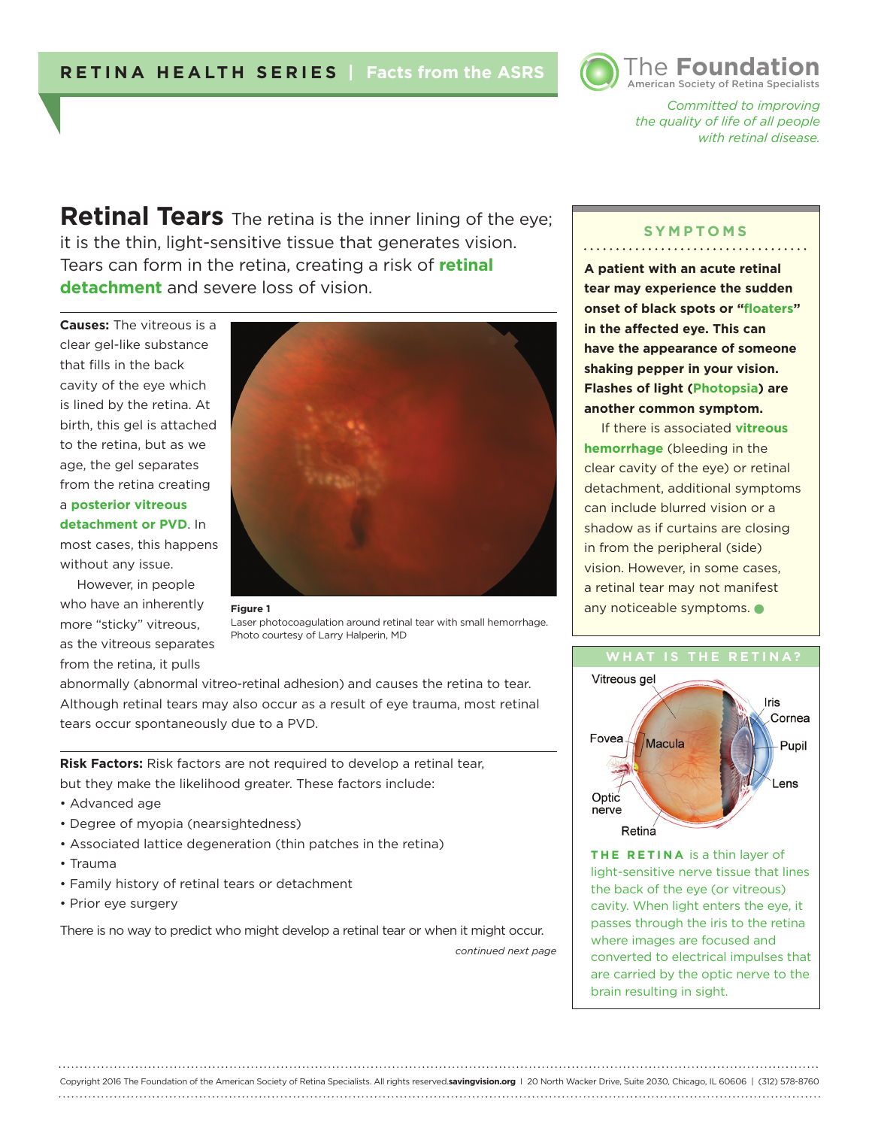

*Committed to improving the quality of life of all people with retinal disease.* 

**Retinal Tears** The retina is the inner lining of the eye; it is the thin, light-sensitive tissue that generates vision. Tears can form in the retina, creating a risk of **retinal detachment** and severe loss of vision.

**Causes:** The vitreous is a clear gel-like substance that fills in the back cavity of the eye which is lined by the retina. At birth, this gel is attached to the retina, but as we age, the gel separates from the retina creating a **posterior vitreous detachment or PVD**. In most cases, this happens without any issue.

However, in people who have an inherently more "sticky" vitreous, as the vitreous separates from the retina, it pulls



Laser photocoagulation around retinal tear with small hemorrhage. Photo courtesy of Larry Halperin, MD

abnormally (abnormal vitreo-retinal adhesion) and causes the retina to tear. Although retinal tears may also occur as a result of eye trauma, most retinal tears occur spontaneously due to a PVD.

**Risk Factors:** Risk factors are not required to develop a retinal tear, but they make the likelihood greater. These factors include:

- Advanced age
- Degree of myopia (nearsightedness)
- Associated lattice degeneration (thin patches in the retina)
- Trauma
- Family history of retinal tears or detachment
- Prior eye surgery

There is no way to predict who might develop a retinal tear or when it might occur.

*continued next page*

## **SYMPTOMS**

**A patient with an acute retinal tear may experience the sudden onset of black spots or "floaters" in the affected eye. This can have the appearance of someone shaking pepper in your vision. Flashes of light (Photopsia) are another common symptom.** 

If there is associated **vitreous hemorrhage** (bleeding in the clear cavity of the eye) or retinal detachment, additional symptoms can include blurred vision or a shadow as if curtains are closing in from the peripheral (side) vision. However, in some cases, a retinal tear may not manifest any noticeable symptoms.  $\bullet$ 



**THE RETINA** is a thin layer of light-sensitive nerve tissue that lines the back of the eye (or vitreous) cavity. When light enters the eye, it passes through the iris to the retina where images are focused and converted to electrical impulses that are carried by the optic nerve to the brain resulting in sight.

Copyright 2016 The Foundation of the American Society of Retina Specialists. All rights reserved.**savingvision.org** I 20 North Wacker Drive, Suite 2030, Chicago, IL 60606 | (312) 578-8760